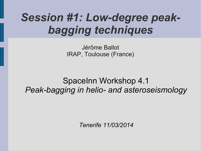## *Session #1: Low-degree peakbagging techniques*

Jérôme Ballot IRAP, Toulouse (France)

#### SpaceInn Workshop 4.1 *Peak-bagging in helio- and asteroseismology*

*Tenerife 11/03/2014*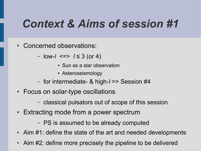## *Context & Aims of session #1*

- Concerned observations:
	- low-*l* <=> *l* ≤ 3 (or 4)
		- Sun as a star observation
		- Asteroseismology
	- for intermediate- & high-*l* => Session #4
- Focus on solar-type oscillations
	- classical pulsators out of scope of this session
- Extracting mode from a power spectrum
	- PS is assumed to be already computed
- Aim  $#1$ : define the state of the art and needed developments
- Aim #2: define more precisely the pipeline to be delivered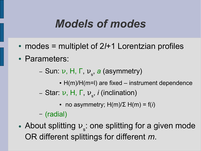### *Models of modes*

- modes = multiplet of 2/+1 Lorentzian profiles
- Parameters:

– Sun: ν, H, Γ, ν s , *a* (asymmetry)

- $\cdot$  H(m)/H(m=I) are fixed instrument dependence
- Star: ν, H, Γ, ν s , *i* (inclination)
	- no asymmetry;  $H(m)/\Sigma$   $H(m) = f(i)$

– (radial)

• About splitting  $v_{\rm s}$ : one splitting for a given mode OR different splittings for different *m*.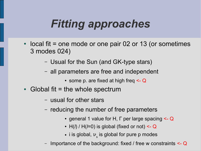# *Fitting approaches*

- $\bullet$  local fit = one mode or one pair 02 or 13 (or sometimes 3 modes 024)
	- Usual for the Sun (and GK-type stars)
	- all parameters are free and independent
		- some p. are fixed at high freq  $\leq Q$
- Global fit = the whole spectrum
	- usual for other stars
	- reducing the number of free parameters
		- general 1 value for H, Γ per large spacing <- Q
		- H(*l*) / H(*l*=0) is global (fixed or not) <- Q
		- $\bullet\,$  i is global,  $\mathcal{V}_{_{\mathbf{S}}}$  is global for pure p modes
	- Importance of the background: fixed / free w constraints <- Q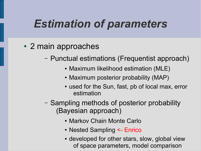## *Estimation of parameters*

- 2 main approaches
	- Punctual estimations (Frequentist approach)
		- Maximum likelihood estimation (MLE)
		- Maximum posterior probability (MAP)
		- used for the Sun, fast, pb of local max, error estimation
	- Sampling methods of posterior probability (Bayesian approach)
		- Markov Chain Monte Carlo
		- Nested Sampling <- Enrico
		- developed for other stars, slow, global view of space parameters, model comparison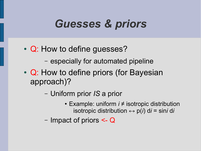## *Guesses & priors*

- Q: How to define guesses?
	- especially for automated pipeline
- Q: How to define priors (for Bayesian approach)?
	- Uniform prior *IS* a prior
		- Example: uniform *i* ≠ isotropic distribution isotropic distribution  $\leftrightarrow$   $p(i)$  d*i* = sin*i* d*i*
	- Impact of priors <- Q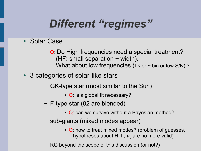# *Different "regimes"*

- Solar Case
	- Q: Do High frequencies need a special treatment? (HF: small separation  $\sim$  width). What about low frequencies (Γ< or ~ bin or low S/N) ?
- 3 categories of solar-like stars
	- GK-type star (most similar to the Sun)
		- Q: is a global fit necessary?
	- F-type star (02 are blended)
		- Q: can we survive without a Bayesian method?
	- sub-giants (mixed modes appear)
		- Q: how to treat mixed modes? (problem of guesses, hypotheses about Η, Γ,  $\boldsymbol{\nu}_\mathrm{s}$  are no more valid)
	- RG beyond the scope of this discussion (or not?)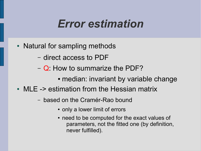#### *Error estimation*

- Natural for sampling methods
	- direct access to PDF
	- Q: How to summarize the PDF?
		- median: invariant by variable change
- $\bullet$  MLE -> estimation from the Hessian matrix
	- based on the Cramér-Rao bound
		- only a lower limit of errors
		- need to be computed for the exact values of parameters, not the fitted one (by definition, never fulfilled).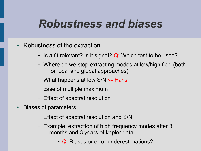#### *Robustness and biases*

- Robustness of the extraction
	- Is a fit relevant? Is it signal?  $Q$ : Which test to be used?
	- Where do we stop extracting modes at low/high freq (both for local and global approaches)
	- What happens at low S/N <- Hans
	- case of multiple maximum
	- Effect of spectral resolution
- **Biases of parameters** 
	- Effect of spectral resolution and S/N
	- Example: extraction of high frequency modes after 3 months and 3 years of kepler data
		- Q: Biases or error underestimations?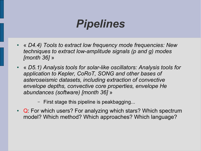#### *Pipelines*

- « *D4.4) Tools to extract low frequency mode frequencies: New techniques to extract low-amplitude signals (p and g) modes [month 36]* »
- « *D5.1) Analysis tools for solar-like oscillators: Analysis tools for application to Kepler, CoRoT, SONG and other bases of asteroseismic datasets, including extraction of convective envelope depths, convective core properties, envelope He abundances (software) [month 36]* »

– First stage this pipeline is peakbagging...

• Q: For which users? For analyzing which stars? Which spectrum model? Which method? Which approaches? Which language?